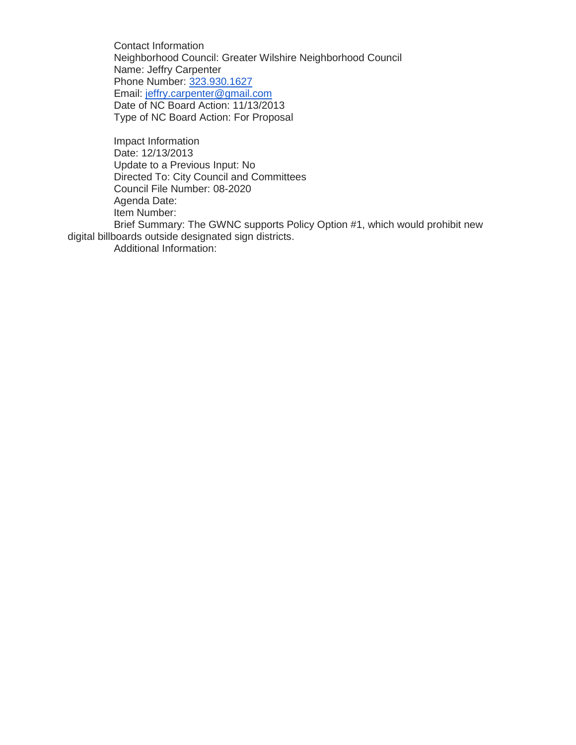Contact Information Neighborhood Council: Greater Wilshire Neighborhood Council Name: Jeffry Carpenter Phone Number: [323.930.1627](tel:323.930.1627) Email: [jeffry.carpenter@gmail.com](mailto:jeffry.carpenter@gmail.com) Date of NC Board Action: 11/13/2013 Type of NC Board Action: For Proposal

Impact Information Date: 12/13/2013 Update to a Previous Input: No Directed To: City Council and Committees Council File Number: 08-2020 Agenda Date: Item Number:

Brief Summary: The GWNC supports Policy Option #1, which would prohibit new digital billboards outside designated sign districts.

Additional Information: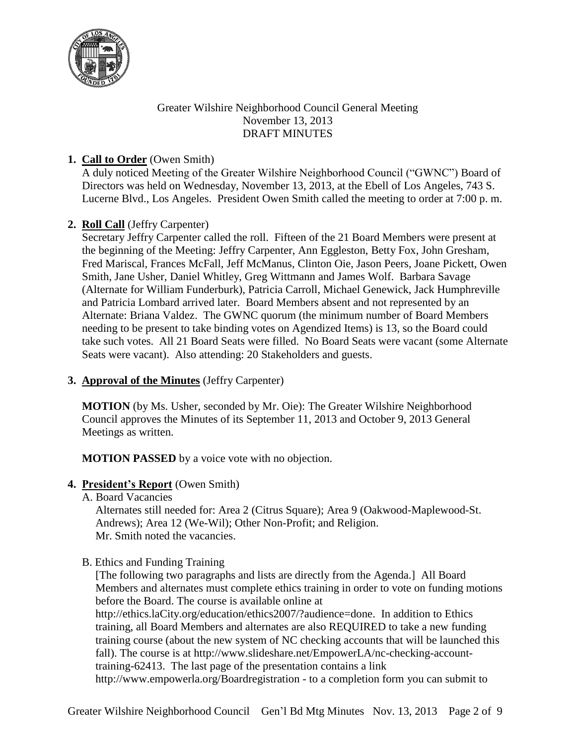

## Greater Wilshire Neighborhood Council General Meeting November 13, 2013 DRAFT MINUTES

## **1. Call to Order** (Owen Smith)

A duly noticed Meeting of the Greater Wilshire Neighborhood Council ("GWNC") Board of Directors was held on Wednesday, November 13, 2013, at the Ebell of Los Angeles, 743 S. Lucerne Blvd., Los Angeles. President Owen Smith called the meeting to order at 7:00 p. m.

# **2. Roll Call** (Jeffry Carpenter)

Secretary Jeffry Carpenter called the roll. Fifteen of the 21 Board Members were present at the beginning of the Meeting: Jeffry Carpenter, Ann Eggleston, Betty Fox, John Gresham, Fred Mariscal, Frances McFall, Jeff McManus, Clinton Oie, Jason Peers, Joane Pickett, Owen Smith, Jane Usher, Daniel Whitley, Greg Wittmann and James Wolf. Barbara Savage (Alternate for William Funderburk), Patricia Carroll, Michael Genewick, Jack Humphreville and Patricia Lombard arrived later. Board Members absent and not represented by an Alternate: Briana Valdez. The GWNC quorum (the minimum number of Board Members needing to be present to take binding votes on Agendized Items) is 13, so the Board could take such votes. All 21 Board Seats were filled. No Board Seats were vacant (some Alternate Seats were vacant). Also attending: 20 Stakeholders and guests.

## **3. Approval of the Minutes** (Jeffry Carpenter)

**MOTION** (by Ms. Usher, seconded by Mr. Oie): The Greater Wilshire Neighborhood Council approves the Minutes of its September 11, 2013 and October 9, 2013 General Meetings as written.

**MOTION PASSED** by a voice vote with no objection.

## **4. President's Report** (Owen Smith)

A. Board Vacancies

Alternates still needed for: Area 2 (Citrus Square); Area 9 (Oakwood-Maplewood-St. Andrews); Area 12 (We-Wil); Other Non-Profit; and Religion. Mr. Smith noted the vacancies.

B. Ethics and Funding Training

[The following two paragraphs and lists are directly from the Agenda.] All Board Members and alternates must complete ethics training in order to vote on funding motions before the Board. The course is available online at

http://ethics.laCity.org/education/ethics2007/?audience=done. In addition to Ethics training, all Board Members and alternates are also REQUIRED to take a new funding training course (about the new system of NC checking accounts that will be launched this fall). The course is at http://www.slideshare.net/EmpowerLA/nc-checking-accounttraining-62413. The last page of the presentation contains a link http://www.empowerla.org/Boardregistration - to a completion form you can submit to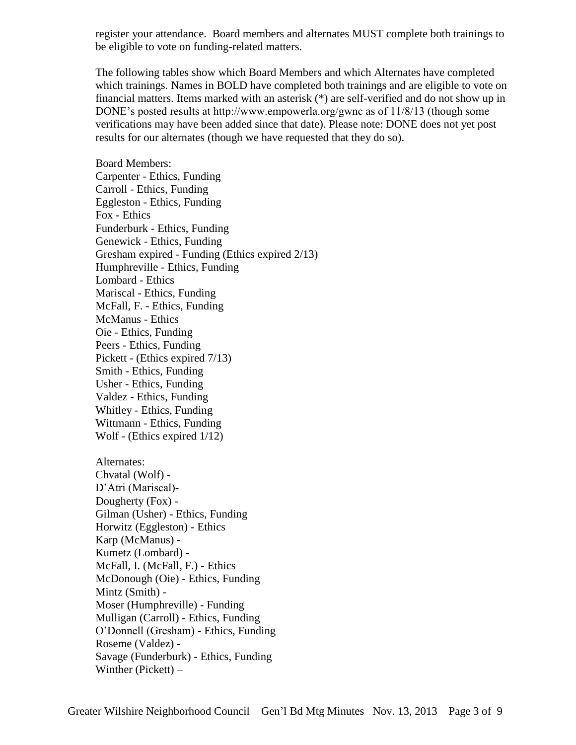register your attendance. Board members and alternates MUST complete both trainings to be eligible to vote on funding-related matters.

The following tables show which Board Members and which Alternates have completed which trainings. Names in BOLD have completed both trainings and are eligible to vote on financial matters. Items marked with an asterisk (\*) are self-verified and do not show up in DONE's posted results at http://www.empowerla.org/gwnc as of 11/8/13 (though some verifications may have been added since that date). Please note: DONE does not yet post results for our alternates (though we have requested that they do so).

Board Members: Carpenter - Ethics, Funding Carroll - Ethics, Funding Eggleston - Ethics, Funding Fox - Ethics Funderburk - Ethics, Funding Genewick - Ethics, Funding Gresham expired - Funding (Ethics expired 2/13) Humphreville - Ethics, Funding Lombard - Ethics Mariscal - Ethics, Funding McFall, F. - Ethics, Funding McManus - Ethics Oie - Ethics, Funding Peers - Ethics, Funding Pickett - (Ethics expired 7/13) Smith - Ethics, Funding Usher - Ethics, Funding Valdez - Ethics, Funding Whitley - Ethics, Funding Wittmann - Ethics, Funding Wolf - (Ethics expired 1/12)

Alternates: Chvatal (Wolf) - D'Atri (Mariscal)- Dougherty (Fox) - Gilman (Usher) - Ethics, Funding Horwitz (Eggleston) - Ethics Karp (McManus) - Kumetz (Lombard) - McFall, I. (McFall, F.) - Ethics McDonough (Oie) - Ethics, Funding Mintz (Smith) - Moser (Humphreville) - Funding Mulligan (Carroll) - Ethics, Funding O'Donnell (Gresham) - Ethics, Funding Roseme (Valdez) - Savage (Funderburk) - Ethics, Funding Winther (Pickett) –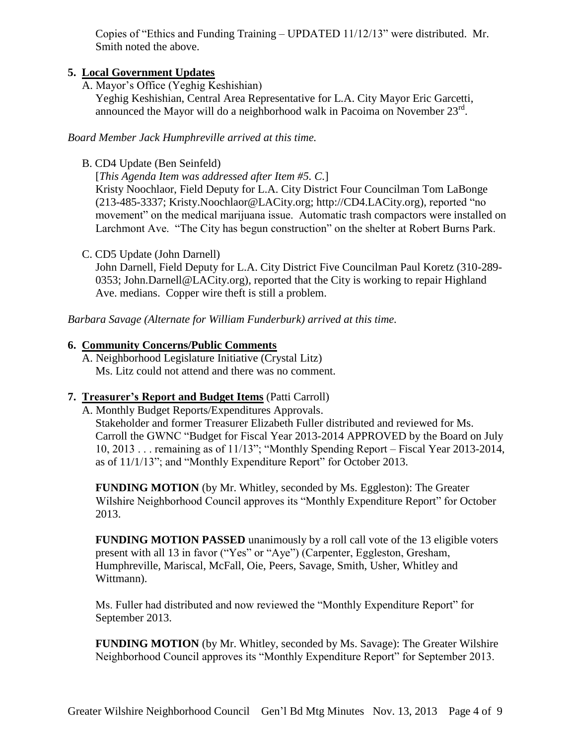Copies of "Ethics and Funding Training – UPDATED 11/12/13" were distributed. Mr. Smith noted the above.

## **5. Local Government Updates**

A. Mayor's Office (Yeghig Keshishian)

Yeghig Keshishian, Central Area Representative for L.A. City Mayor Eric Garcetti, announced the Mayor will do a neighborhood walk in Pacoima on November 23rd.

*Board Member Jack Humphreville arrived at this time.*

B. CD4 Update (Ben Seinfeld)

[*This Agenda Item was addressed after Item #5. C.*]

Kristy Noochlaor, Field Deputy for L.A. City District Four Councilman Tom LaBonge (213-485-3337; Kristy.Noochlaor@LACity.org; http://CD4.LACity.org), reported "no movement" on the medical marijuana issue. Automatic trash compactors were installed on Larchmont Ave. "The City has begun construction" on the shelter at Robert Burns Park.

C. CD5 Update (John Darnell)

John Darnell, Field Deputy for L.A. City District Five Councilman Paul Koretz (310-289- 0353; John.Darnell@LACity.org), reported that the City is working to repair Highland Ave. medians. Copper wire theft is still a problem.

*Barbara Savage (Alternate for William Funderburk) arrived at this time.*

## **6. Community Concerns/Public Comments**

A. Neighborhood Legislature Initiative (Crystal Litz) Ms. Litz could not attend and there was no comment.

## **7. Treasurer's Report and Budget Items** (Patti Carroll)

A. Monthly Budget Reports/Expenditures Approvals. Stakeholder and former Treasurer Elizabeth Fuller distributed and reviewed for Ms. Carroll the GWNC "Budget for Fiscal Year 2013-2014 APPROVED by the Board on July 10, 2013 . . . remaining as of 11/13"; "Monthly Spending Report – Fiscal Year 2013-2014, as of 11/1/13"; and "Monthly Expenditure Report" for October 2013.

**FUNDING MOTION** (by Mr. Whitley, seconded by Ms. Eggleston): The Greater Wilshire Neighborhood Council approves its "Monthly Expenditure Report" for October 2013.

**FUNDING MOTION PASSED** unanimously by a roll call vote of the 13 eligible voters present with all 13 in favor ("Yes" or "Aye") (Carpenter, Eggleston, Gresham, Humphreville, Mariscal, McFall, Oie, Peers, Savage, Smith, Usher, Whitley and Wittmann).

Ms. Fuller had distributed and now reviewed the "Monthly Expenditure Report" for September 2013.

**FUNDING MOTION** (by Mr. Whitley, seconded by Ms. Savage): The Greater Wilshire Neighborhood Council approves its "Monthly Expenditure Report" for September 2013.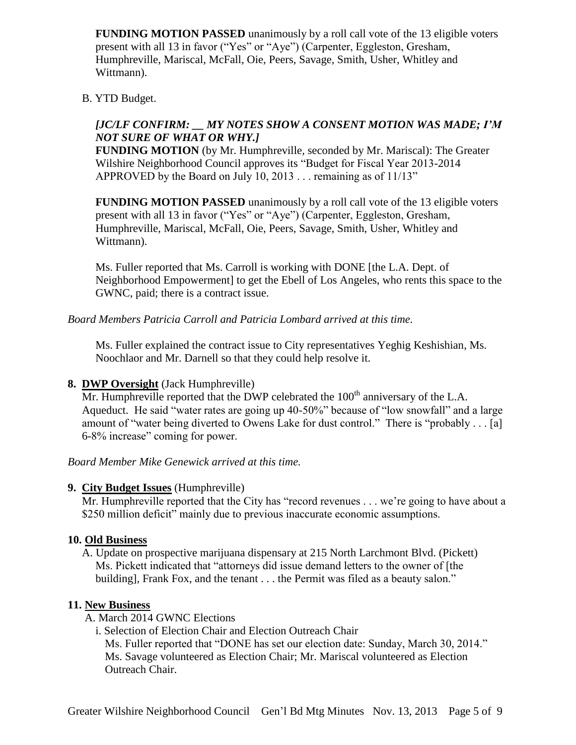**FUNDING MOTION PASSED** unanimously by a roll call vote of the 13 eligible voters present with all 13 in favor ("Yes" or "Aye") (Carpenter, Eggleston, Gresham, Humphreville, Mariscal, McFall, Oie, Peers, Savage, Smith, Usher, Whitley and Wittmann).

### B. YTD Budget.

### *[JC/LF CONFIRM: \_\_ MY NOTES SHOW A CONSENT MOTION WAS MADE; I'M NOT SURE OF WHAT OR WHY.]*

**FUNDING MOTION** (by Mr. Humphreville, seconded by Mr. Mariscal): The Greater Wilshire Neighborhood Council approves its "Budget for Fiscal Year 2013-2014 APPROVED by the Board on July 10, 2013 . . . remaining as of 11/13"

**FUNDING MOTION PASSED** unanimously by a roll call vote of the 13 eligible voters present with all 13 in favor ("Yes" or "Aye") (Carpenter, Eggleston, Gresham, Humphreville, Mariscal, McFall, Oie, Peers, Savage, Smith, Usher, Whitley and Wittmann).

Ms. Fuller reported that Ms. Carroll is working with DONE [the L.A. Dept. of Neighborhood Empowerment] to get the Ebell of Los Angeles, who rents this space to the GWNC, paid; there is a contract issue.

*Board Members Patricia Carroll and Patricia Lombard arrived at this time.*

Ms. Fuller explained the contract issue to City representatives Yeghig Keshishian, Ms. Noochlaor and Mr. Darnell so that they could help resolve it.

### **8. DWP Oversight** (Jack Humphreville)

Mr. Humphreville reported that the DWP celebrated the  $100<sup>th</sup>$  anniversary of the L.A. Aqueduct. He said "water rates are going up 40-50%" because of "low snowfall" and a large amount of "water being diverted to Owens Lake for dust control." There is "probably . . . [a] 6-8% increase" coming for power.

### *Board Member Mike Genewick arrived at this time.*

#### **9. City Budget Issues** (Humphreville)

Mr. Humphreville reported that the City has "record revenues . . . we're going to have about a \$250 million deficit" mainly due to previous inaccurate economic assumptions.

### **10. Old Business**

A. Update on prospective marijuana dispensary at 215 North Larchmont Blvd. (Pickett) Ms. Pickett indicated that "attorneys did issue demand letters to the owner of [the building], Frank Fox, and the tenant . . . the Permit was filed as a beauty salon."

### **11. New Business**

A. March 2014 GWNC Elections

i. Selection of Election Chair and Election Outreach Chair Ms. Fuller reported that "DONE has set our election date: Sunday, March 30, 2014." Ms. Savage volunteered as Election Chair; Mr. Mariscal volunteered as Election Outreach Chair.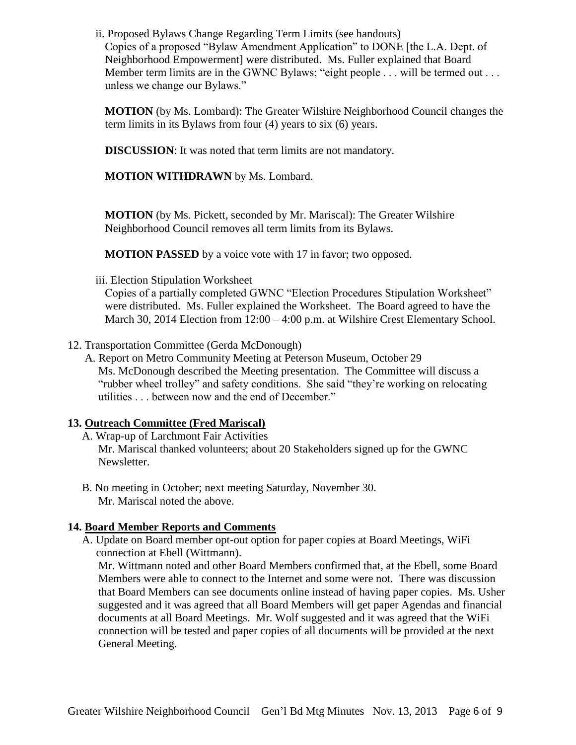ii. Proposed Bylaws Change Regarding Term Limits (see handouts) Copies of a proposed "Bylaw Amendment Application" to DONE [the L.A. Dept. of Neighborhood Empowerment] were distributed. Ms. Fuller explained that Board Member term limits are in the GWNC Bylaws; "eight people . . . will be termed out . . . unless we change our Bylaws."

**MOTION** (by Ms. Lombard): The Greater Wilshire Neighborhood Council changes the term limits in its Bylaws from four (4) years to six (6) years.

**DISCUSSION**: It was noted that term limits are not mandatory.

**MOTION WITHDRAWN** by Ms. Lombard.

**MOTION** (by Ms. Pickett, seconded by Mr. Mariscal): The Greater Wilshire Neighborhood Council removes all term limits from its Bylaws.

**MOTION PASSED** by a voice vote with 17 in favor; two opposed.

iii. Election Stipulation Worksheet

Copies of a partially completed GWNC "Election Procedures Stipulation Worksheet" were distributed. Ms. Fuller explained the Worksheet. The Board agreed to have the March 30, 2014 Election from 12:00 – 4:00 p.m. at Wilshire Crest Elementary School.

- 12. Transportation Committee (Gerda McDonough)
	- A. Report on Metro Community Meeting at Peterson Museum, October 29 Ms. McDonough described the Meeting presentation. The Committee will discuss a "rubber wheel trolley" and safety conditions. She said "they're working on relocating utilities . . . between now and the end of December."

### **13. Outreach Committee (Fred Mariscal)**

A. Wrap-up of Larchmont Fair Activities

Mr. Mariscal thanked volunteers; about 20 Stakeholders signed up for the GWNC Newsletter.

B. No meeting in October; next meeting Saturday, November 30. Mr. Mariscal noted the above.

### **14. Board Member Reports and Comments**

A. Update on Board member opt-out option for paper copies at Board Meetings, WiFi connection at Ebell (Wittmann).

Mr. Wittmann noted and other Board Members confirmed that, at the Ebell, some Board Members were able to connect to the Internet and some were not. There was discussion that Board Members can see documents online instead of having paper copies. Ms. Usher suggested and it was agreed that all Board Members will get paper Agendas and financial documents at all Board Meetings. Mr. Wolf suggested and it was agreed that the WiFi connection will be tested and paper copies of all documents will be provided at the next General Meeting.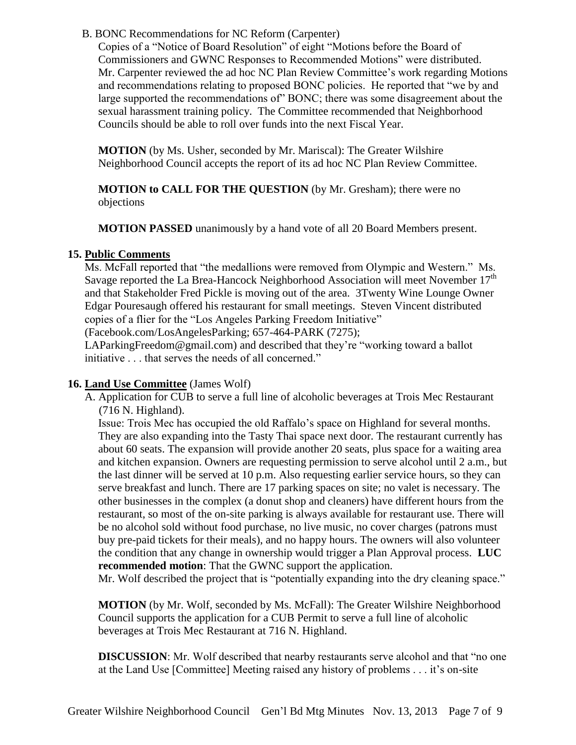B. BONC Recommendations for NC Reform (Carpenter)

Copies of a "Notice of Board Resolution" of eight "Motions before the Board of Commissioners and GWNC Responses to Recommended Motions" were distributed. Mr. Carpenter reviewed the ad hoc NC Plan Review Committee's work regarding Motions and recommendations relating to proposed BONC policies. He reported that "we by and large supported the recommendations of" BONC; there was some disagreement about the sexual harassment training policy. The Committee recommended that Neighborhood Councils should be able to roll over funds into the next Fiscal Year.

**MOTION** (by Ms. Usher, seconded by Mr. Mariscal): The Greater Wilshire Neighborhood Council accepts the report of its ad hoc NC Plan Review Committee.

**MOTION to CALL FOR THE QUESTION** (by Mr. Gresham); there were no objections

**MOTION PASSED** unanimously by a hand vote of all 20 Board Members present.

## **15. Public Comments**

Ms. McFall reported that "the medallions were removed from Olympic and Western." Ms. Savage reported the La Brea-Hancock Neighborhood Association will meet November  $17<sup>th</sup>$ and that Stakeholder Fred Pickle is moving out of the area. 3Twenty Wine Lounge Owner Edgar Pouresaugh offered his restaurant for small meetings. Steven Vincent distributed copies of a flier for the "Los Angeles Parking Freedom Initiative"

(Facebook.com/LosAngelesParking; 657-464-PARK (7275);

LAParkingFreedom@gmail.com) and described that they're "working toward a ballot initiative . . . that serves the needs of all concerned."

## **16. Land Use Committee** (James Wolf)

A. Application for CUB to serve a full line of alcoholic beverages at Trois Mec Restaurant (716 N. Highland).

Issue: Trois Mec has occupied the old Raffalo's space on Highland for several months. They are also expanding into the Tasty Thai space next door. The restaurant currently has about 60 seats. The expansion will provide another 20 seats, plus space for a waiting area and kitchen expansion. Owners are requesting permission to serve alcohol until 2 a.m., but the last dinner will be served at 10 p.m. Also requesting earlier service hours, so they can serve breakfast and lunch. There are 17 parking spaces on site; no valet is necessary. The other businesses in the complex (a donut shop and cleaners) have different hours from the restaurant, so most of the on-site parking is always available for restaurant use. There will be no alcohol sold without food purchase, no live music, no cover charges (patrons must buy pre-paid tickets for their meals), and no happy hours. The owners will also volunteer the condition that any change in ownership would trigger a Plan Approval process. **LUC recommended motion**: That the GWNC support the application.

Mr. Wolf described the project that is "potentially expanding into the dry cleaning space."

**MOTION** (by Mr. Wolf, seconded by Ms. McFall): The Greater Wilshire Neighborhood Council supports the application for a CUB Permit to serve a full line of alcoholic beverages at Trois Mec Restaurant at 716 N. Highland.

**DISCUSSION**: Mr. Wolf described that nearby restaurants serve alcohol and that "no one at the Land Use [Committee] Meeting raised any history of problems . . . it's on-site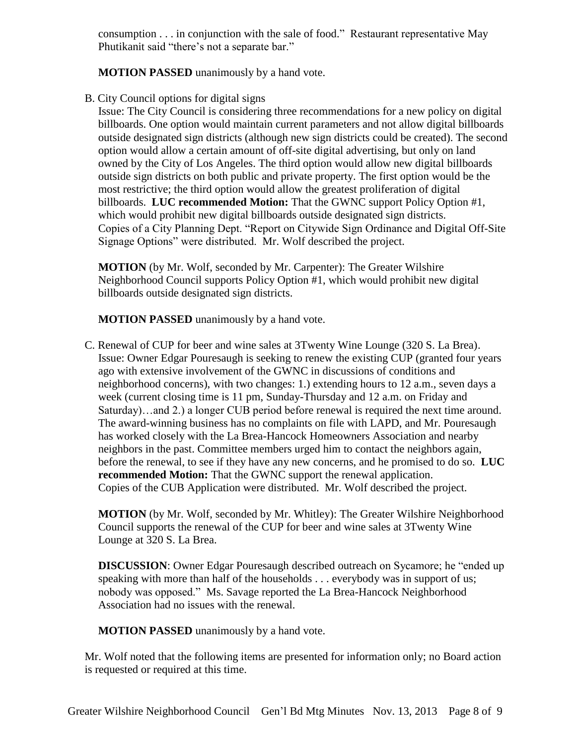consumption . . . in conjunction with the sale of food." Restaurant representative May Phutikanit said "there's not a separate bar."

**MOTION PASSED** unanimously by a hand vote.

B. City Council options for digital signs

Issue: The City Council is considering three recommendations for a new policy on digital billboards. One option would maintain current parameters and not allow digital billboards outside designated sign districts (although new sign districts could be created). The second option would allow a certain amount of off-site digital advertising, but only on land owned by the City of Los Angeles. The third option would allow new digital billboards outside sign districts on both public and private property. The first option would be the most restrictive; the third option would allow the greatest proliferation of digital billboards. **LUC recommended Motion:** That the GWNC support Policy Option #1, which would prohibit new digital billboards outside designated sign districts. Copies of a City Planning Dept. "Report on Citywide Sign Ordinance and Digital Off-Site Signage Options" were distributed. Mr. Wolf described the project.

**MOTION** (by Mr. Wolf, seconded by Mr. Carpenter): The Greater Wilshire Neighborhood Council supports Policy Option #1, which would prohibit new digital billboards outside designated sign districts.

**MOTION PASSED** unanimously by a hand vote.

C. Renewal of CUP for beer and wine sales at 3Twenty Wine Lounge (320 S. La Brea). Issue: Owner Edgar Pouresaugh is seeking to renew the existing CUP (granted four years ago with extensive involvement of the GWNC in discussions of conditions and neighborhood concerns), with two changes: 1.) extending hours to 12 a.m., seven days a week (current closing time is 11 pm, Sunday-Thursday and 12 a.m. on Friday and Saturday)…and 2.) a longer CUB period before renewal is required the next time around. The award-winning business has no complaints on file with LAPD, and Mr. Pouresaugh has worked closely with the La Brea-Hancock Homeowners Association and nearby neighbors in the past. Committee members urged him to contact the neighbors again, before the renewal, to see if they have any new concerns, and he promised to do so. **LUC recommended Motion:** That the GWNC support the renewal application. Copies of the CUB Application were distributed. Mr. Wolf described the project.

**MOTION** (by Mr. Wolf, seconded by Mr. Whitley): The Greater Wilshire Neighborhood Council supports the renewal of the CUP for beer and wine sales at 3Twenty Wine Lounge at 320 S. La Brea.

**DISCUSSION**: Owner Edgar Pouresaugh described outreach on Sycamore; he "ended up speaking with more than half of the households . . . everybody was in support of us; nobody was opposed." Ms. Savage reported the La Brea-Hancock Neighborhood Association had no issues with the renewal.

**MOTION PASSED** unanimously by a hand vote.

Mr. Wolf noted that the following items are presented for information only; no Board action is requested or required at this time.